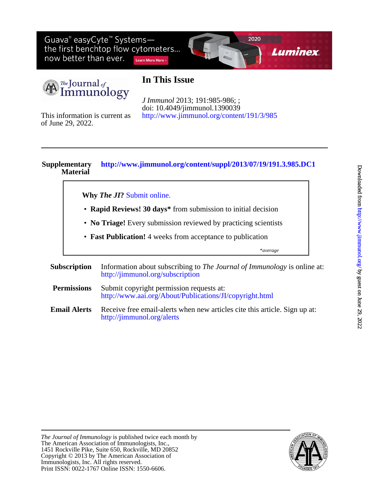Guava® easyCyte<sup>™</sup> Systemsthe first benchtop flow cytometers... now better than ever. Learn More Here >



The Journal of<br>Immunology

# **In This Issue**

<http://www.jimmunol.org/content/191/3/985> doi: 10.4049/jimmunol.1390039 *J Immunol* 2013; 191:985-986; ;

of June 29, 2022. This information is current as

#### **Material Supplementary <http://www.jimmunol.org/content/suppl/2013/07/19/191.3.985.DC1>**

**Why** *The JI***?** [Submit online.](https://ji.msubmit.net)

- **Rapid Reviews! 30 days\*** from submission to initial decision
- **No Triage!** Every submission reviewed by practicing scientists
- **Fast Publication!** 4 weeks from acceptance to publication
	- \**average*
- **Subscription** <http://jimmunol.org/subscription> Information about subscribing to *The Journal of Immunology* is online at: **Permissions** <http://www.aai.org/About/Publications/JI/copyright.html> Submit copyright permission requests at:
- **Email Alerts** <http://jimmunol.org/alerts> Receive free email-alerts when new articles cite this article. Sign up at:



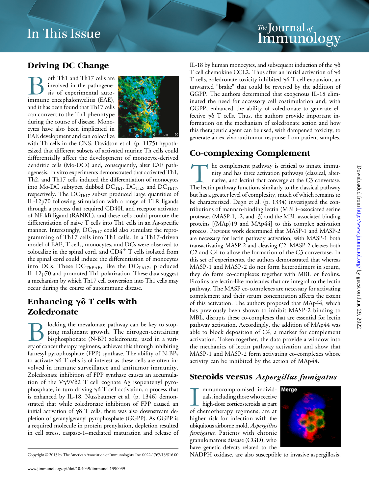# *The* Journal <sub>of</sub><br>Immuno Immunology

# Driving DC Change

oth Th1 and Th17 cells are involved in the pathogenesis of experimental autoimmune encephalomyelitis (EAE), and it has been found that Th17 cells can convert to the Th1 phenotype during the course of disease. Monocytes have also been implicated in EAE development and can colocalize



with Th cells in the CNS. Davidson et al. (p. 1175) hypothesized that different subsets of activated murine Th cells could differentially affect the development of monocyte-derived dendritic cells (Mo-DCs) and, consequently, alter EAE pathogenesis. In vitro experiments demonstrated that activated Th1, Th2, and Th17 cells induced the differentiation of monocytes into Mo-DC subtypes, dubbed  $DC_{Th1}$ ,  $DC_{Th2}$ , and  $DC_{Th17}$ , respectively. The  $DC_{Th17}$  subset produced large quantities of IL-12p70 following stimulation with a range of TLR ligands through a process that required CD40L and receptor activator of NF-kB ligand (RANKL), and these cells could promote the differentiation of naive T cells into Th1 cells in an Ag-specific manner. Interestingly,  $DC<sub>Th17</sub>$  could also stimulate the reprogramming of Th17 cells into Th1 cells. In a Th17-driven model of EAE, T cells, monocytes, and DCs were observed to colocalize in the spinal cord, and  $CD4^+$  T cells isolated from the spinal cord could induce the differentiation of monocytes into DCs. These  $DC<sub>THEAE</sub>$ , like the  $DC<sub>Th17</sub>$ , produced IL-12p70 and promoted Th1 polarization. These data suggest a mechanism by which Th17 cell conversion into Th1 cells may occur during the course of autoimmune disease.

# Enhancing  $\gamma\delta$  T cells with Zoledronate

Blocking the mevalonate pathway can be key to stop-<br>ping malignant growth. The nitrogen-containing<br>bisphosphonate (N-BP) zoledronate, used in a vari-<br>etv of cancer therapy regimens, achieves this through inhibiting ping malignant growth. The nitrogen-containing bisphosphonate (N-BP) zoledronate, used in a variety of cancer therapy regimens, achieves this through inhibiting farnesyl pyrophosphate (FPP) synthase. The ability of N-BPs to activate  $\gamma \delta$  T cells is of interest as these cells are often involved in immune surveillance and antitumor immunity. Zoledronate inhibition of FPP synthase causes an accumulation of the V $\gamma$ 9V $\delta$ 2 T cell cognate Ag isopentenyl pyrophosphate, in turn driving  $\gamma\delta$  T cell activation, a process that is enhanced by IL-18. Nussbaumer et al. (p. 1346) demonstrated that while zoledronate inhibition of FPP caused an initial activation of  $\gamma\delta$  T cells, there was also downstream depletion of geranylgeranyl pyrophosphate (GGPP). As GGPP is a required molecule in protein prenylation, depletion resulted in cell stress, caspase-1–mediated maturation and release of IL-18 by human monocytes, and subsequent induction of the  $\gamma\delta$ T cell chemokine CCL2. Thus after an initial activation of  $\gamma\delta$ T cells, zoledronate toxicity inhibited  $\gamma\delta$  T cell expansion, an unwanted "brake" that could be reversed by the addition of GGPP. The authors determined that exogenous IL-18 eliminated the need for accessory cell costimulation and, with GGPP, enhanced the ability of zoledronate to generate effective  $\gamma\delta$  T cells. Thus, the authors provide important information on the mechanism of zoledronate action and how this therapeutic agent can be used, with dampened toxicity, to generate an ex vivo antitumor response from patient samples.

### Co-complexing Complement

The complement pathway is critical to innate immu-<br>nity and has three activation pathways (classical, alter-<br>native, and lectin) that converge at the C3 convertase.<br>The lectin pathway functions similarly to the classical p nity and has three activation pathways (classical, alternative, and lectin) that converge at the C3 convertase. The lectin pathway functions similarly to the classical pathway but has a greater level of complexity, much of which remains to be characterized. Degn et al. (p. 1334) investigated the contributions of mannan-binding lectin (MBL)–associated serine proteases (MASP-1, -2, and -3) and the MBL-associated binding proteins [(MAp)19 and MAp44] to this complex activation process. Previous work determined that MASP-1 and MASP-2 are necessary for lectin pathway activation, with MASP-1 both transactivating MASP-2 and cleaving C2. MASP-2 cleaves both C2 and C4 to allow the formation of the C3 convertase. In this set of experiments, the authors demonstrated that whereas MASP-1 and MASP-2 do not form heterodimers in serum, they do form co-complexes together with MBL or ficolins. Ficolins are lectin-like molecules that are integral to the lectin pathway. The MASP co-complexes are necessary for activating complement and their serum concentration affects the extent of this activation. The authors proposed that MAp44, which has previously been shown to inhibit MASP-2 binding to MBL, disrupts these co-complexes that are essential for lectin pathway activation. Accordingly, the addition of MAp44 was able to block deposition of C4, a marker for complement activation. Taken together, the data provide a window into the mechanics of lectin pathway activation and show that MASP-1 and MASP-2 form activating co-complexes whose activity can be inhibited by the action of MAp44.

#### Steroids versus Aspergillus fumigatus

I mmunocompromised individuals, including those who receive<br>high-dose corticosteroids as part<br>of chemotherapy regimens, are at mmunocompromised individ- Merge uals, including those who receive high-dose corticosteroids as part higher risk for infection with the ubiquitous airborne mold, Aspergillus fumigatus. Patients with chronic granulomatous disease (CGD), who have genetic defects related to the



Copyright © 2013 by The American Association of Immunologists, Inc. 0022-1767/13/\$16.00 NADPH oxidase, are also susceptible to invasive aspergillosis,